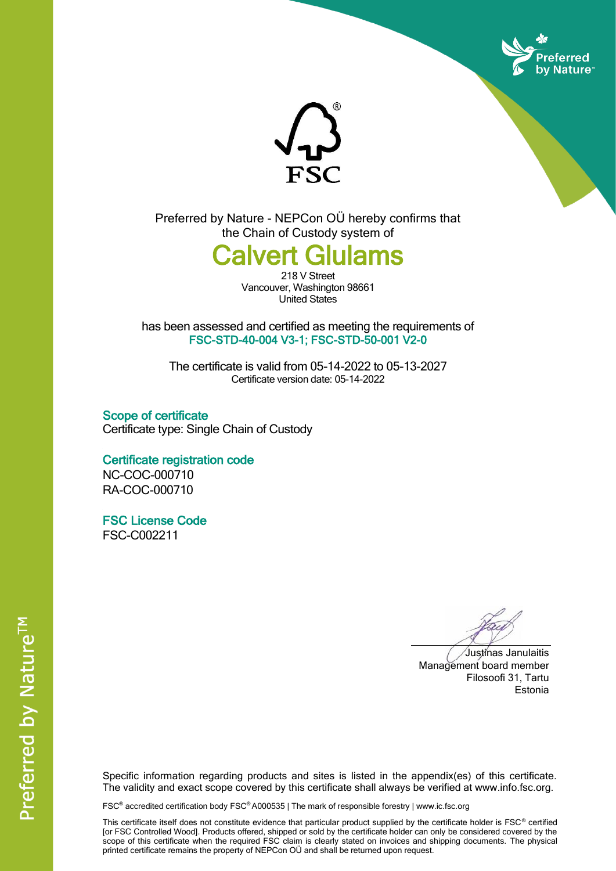



Preferred by Nature - NEPCon OÜ hereby confirms that the Chain of Custody system of

## alvert Glulams

218 V Street Vancouver, Washington 98661 United States

has been assessed and certified as meeting the requirements of FSC-STD-40-004 V3-1; FSC-STD-50-001 V2-0

The certificate is valid from 05-14-2022 to 05-13-2027 Certificate version date: 05-14-2022

Scope of certificate Certificate type: Single Chain of Custody

Certificate registration code NC-COC-000710 RA-COC-000710

FSC License Code

FSC-C002211

Justinas Janulaitis Management board member Filosoofi 31, Tartu Estonia

Specific information regarding products and sites is listed in the appendix(es) of this certificate. The validity and exact scope covered by this certificate shall always be verified at www.info.fsc.org.

FSC® accredited certification body FSC® A000535 | The mark of responsible forestry | www.ic.fsc.org

This certificate itself does not constitute evidence that particular product supplied by the certificate holder is FSC® certified [or FSC Controlled Wood]. Products offered, shipped or sold by the certificate holder can only be considered covered by the scope of this certificate when the required FSC claim is clearly stated on invoices and shipping documents. The physical printed certificate remains the property of NEPCon OÜ and shall be returned upon request.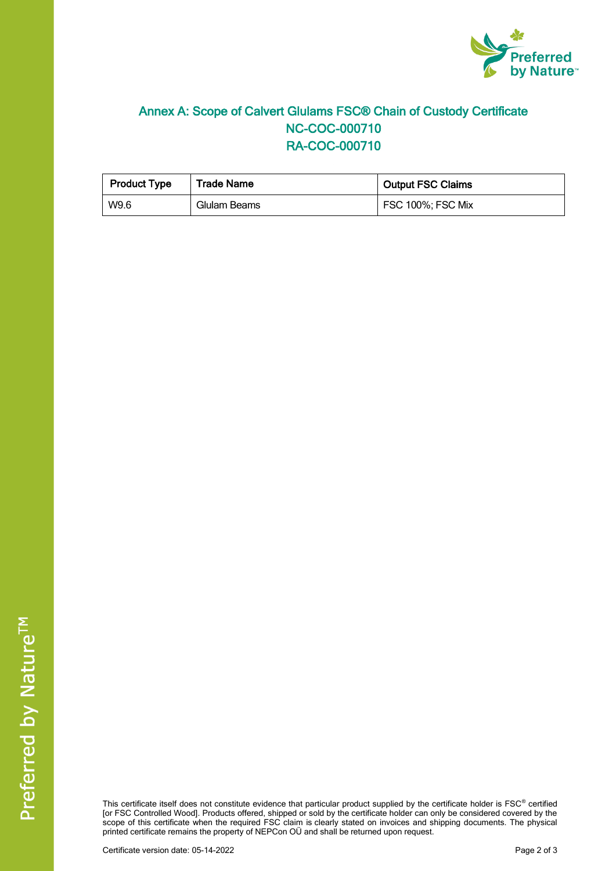

## Annex A: Scope of Calvert Glulams FSC® Chain of Custody Certificate NC-COC-000710 RA-COC-000710

| <b>Product Type</b> | <b>Trade Name</b> | <b>Output FSC Claims</b> |  |
|---------------------|-------------------|--------------------------|--|
| W9.6                | Glulam Beams      | FSC 100%; FSC Mix        |  |

This certificate itself does not constitute evidence that particular product supplied by the certificate holder is FSC® certified [or FSC Controlled Wood]. Products offered, shipped or sold by the certificate holder can only be considered covered by the scope of this certificate when the required FSC claim is clearly stated on invoices and shipping documents. The physical printed certificate remains the property of NEPCon OÜ and shall be returned upon request.